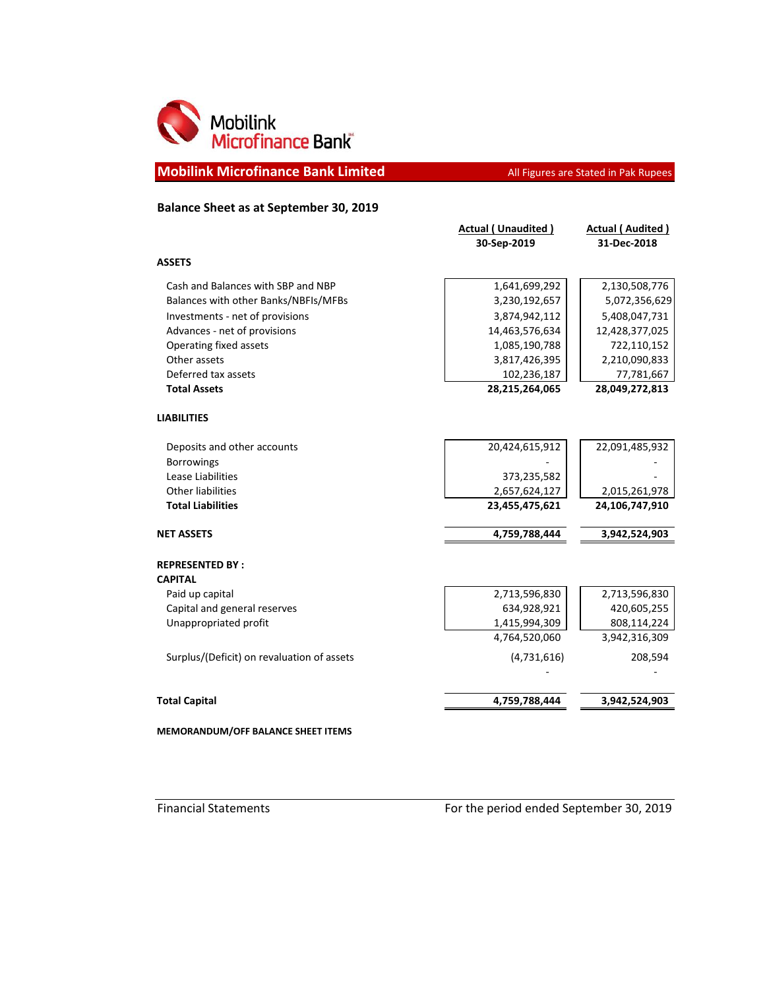

**Mobilink Microfinance Bank Limited All Figures are Stated in Pak Rupees** 

## **Balance Sheet as at September 30, 2019**

| 1,641,699,292<br>3,230,192,657<br>3,874,942,112<br>14,463,576,634<br>1,085,190,788<br>3,817,426,395<br>102,236,187 | 2,130,508,776<br>5,072,356,629<br>5,408,047,731<br>12,428,377,025<br>722,110,152<br>2,210,090,833<br>77,781,667 |
|--------------------------------------------------------------------------------------------------------------------|-----------------------------------------------------------------------------------------------------------------|
|                                                                                                                    |                                                                                                                 |
|                                                                                                                    |                                                                                                                 |
|                                                                                                                    |                                                                                                                 |
|                                                                                                                    |                                                                                                                 |
|                                                                                                                    |                                                                                                                 |
|                                                                                                                    |                                                                                                                 |
|                                                                                                                    |                                                                                                                 |
|                                                                                                                    |                                                                                                                 |
|                                                                                                                    | 28,049,272,813                                                                                                  |
|                                                                                                                    |                                                                                                                 |
| 20,424,615,912                                                                                                     | 22,091,485,932                                                                                                  |
|                                                                                                                    |                                                                                                                 |
| 373,235,582                                                                                                        |                                                                                                                 |
| 2,657,624,127                                                                                                      | 2,015,261,978                                                                                                   |
| 23,455,475,621                                                                                                     | 24,106,747,910                                                                                                  |
| 4,759,788,444                                                                                                      | 3,942,524,903                                                                                                   |
|                                                                                                                    |                                                                                                                 |
|                                                                                                                    |                                                                                                                 |
| 2,713,596,830                                                                                                      | 2,713,596,830                                                                                                   |
| 634,928,921                                                                                                        | 420,605,255                                                                                                     |
| 1,415,994,309                                                                                                      | 808,114,224                                                                                                     |
| 4,764,520,060                                                                                                      | 3,942,316,309                                                                                                   |
| (4,731,616)                                                                                                        | 208,594                                                                                                         |
|                                                                                                                    | 3,942,524,903                                                                                                   |
|                                                                                                                    | 28,215,264,065<br>4,759,788,444                                                                                 |

**MEMORANDUM/OFF BALANCE SHEET ITEMS**